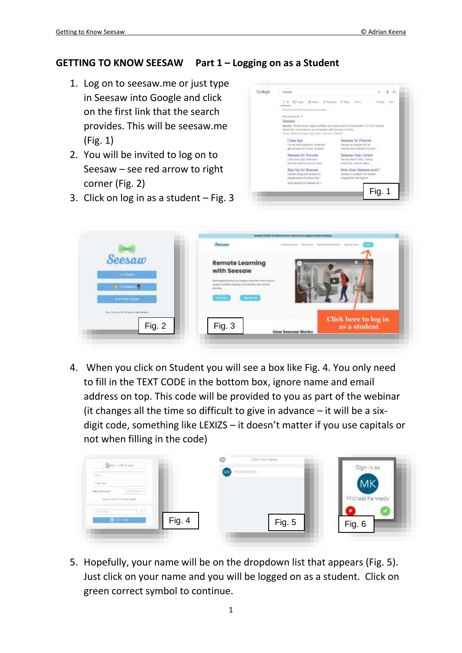## **GETTING TO KNOW SEESAW Part 1 – Logging on as a Student**

- 1. Log on to seesaw.me or just type in Seesaw into Google and click on the first link that the search provides. This will be seesaw.me (Fig. 1)
- 2. You will be invited to log on to Seesaw – see red arrow to right corner (Fig. 2)



|  | <b>CONTRACTOR</b>                                                                                                                                                                                                                                                                                                          |                                                                                                   | $x + a$     |  |
|--|----------------------------------------------------------------------------------------------------------------------------------------------------------------------------------------------------------------------------------------------------------------------------------------------------------------------------|---------------------------------------------------------------------------------------------------|-------------|--|
|  | 1.4 Given Street (Eliming Ether 14th                                                                                                                                                                                                                                                                                       |                                                                                                   |             |  |
|  | front do 2011/03 month (1-6) corrected<br>and homize his 14<br><b><i>Illinoistw</i></b><br>Beesser, Dickerk doors deploy and does and source permit conversations For ESE around<br>Brown Fiber - Characterization with Corrigation and a Division or Parellin<br>fected defect bid year drace dries. Last rind. Third all |                                                                                                   |             |  |
|  | NAME OF GROOM<br><b>Class Anti-</b><br>For the tarafa superistives, assistant<br><b>BUD REFORE FW UP LEAR COTTENTS</b>                                                                                                                                                                                                     | Seesow for Parents<br>the year degree is a use all<br>0-m31091-2-00 00:00:003 01 00:00:01         |             |  |
|  | Saasaaw for Schenke<br>Jean trent almo! Executive<br>premium finalizato da priva alcoro. -                                                                                                                                                                                                                                 | Seesow Help Carder<br><b>Barodo Hold Carteal - Galling</b><br>started last intuint-year-in.       | <b>KIND</b> |  |
|  | Skan Up for Seesow<br>Deal Libri, sellipsinus 45. alustando ko-<br>Integermentes Autometet Been                                                                                                                                                                                                                            | How does Seesow work?<br>Deterioris la la profession Put Incubant : 11-<br>engagement that impulm |             |  |
|  | Linear mounty-fourt-seasons for a                                                                                                                                                                                                                                                                                          |                                                                                                   | Fig. 1      |  |



4. When you click on Student you will see a box like Fig. 4. You only need to fill in the TEXT CODE in the bottom box, ignore name and email address on top. This code will be provided to you as part of the webinar (it changes all the time so difficult to give in advance  $-$  it will be a sixdigit code, something like LEXIZS – it doesn't matter if you use capitals or not when filling in the code)

| <b>Grammerican</b><br>the contract of the con-                                                         | Click Vited Walther | Sign In as      |
|--------------------------------------------------------------------------------------------------------|---------------------|-----------------|
| <b>Them</b><br><b>Parriet</b>                                                                          |                     |                 |
| $\label{eq:1} -\min\{1, \min\} = 1$<br>$\exp(\theta) = 0$<br>besides the factorization present degrees |                     | Michael Kennedy |
| m <sub>0</sub><br>ST)<br>Fig. $4$                                                                      | Fig. 5              | ×<br>Fig. 6     |

5. Hopefully, your name will be on the dropdown list that appears (Fig. 5). Just click on your name and you will be logged on as a student. Click on green correct symbol to continue.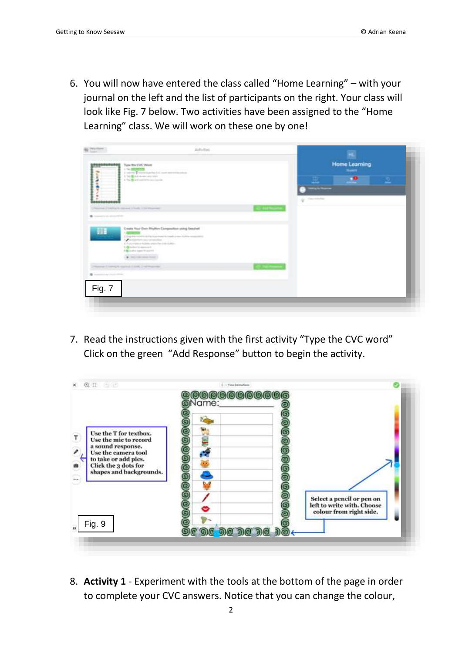6. You will now have entered the class called "Home Learning" – with your journal on the left and the list of participants on the right. Your class will look like Fig. 7 below. Two activities have been assigned to the "Home Learning" class. We will work on these one by one!

| Tues the CVC Went<br>$1.5-200000000$                                                                                                                                                                      | Talking construction of the death<br>I will Themselver Commerciones                                                                                          |                                   | <b>Home Learning</b><br><b>Number</b>                                             |  |    |
|-----------------------------------------------------------------------------------------------------------------------------------------------------------------------------------------------------------|--------------------------------------------------------------------------------------------------------------------------------------------------------------|-----------------------------------|-----------------------------------------------------------------------------------|--|----|
| It has the selection and the con-<br>A The More converts and speed.<br>Playering (Childha/A) (2014-A) 2 Tools 2 101 Programme<br>Streamer and an except the                                               |                                                                                                                                                              | <b>TO NATIONAL</b>                | 里<br><b><i><u><i><u><b>DESCRIPTION</b></u></i></u></i></b><br>They should be<br>÷ |  | 2. |
| m<br><b><i><u>A BERNICK</u></i></b><br><b>Particular accountant</b><br>3. Whatforc's agrees to<br>4 Brigado A Again A Accord.<br>· Reviewer for:<br>Chevrolet Channels was had 2 2008, Child Holly Health | Creata Your Dan Houtlan Composition using Secured<br>Charter when a hard product with a new future computers.<br>A Pullushare entered press the politicians. | <b>Contract Contract Contract</b> |                                                                                   |  |    |
| B home to a state that<br>Fig. 7                                                                                                                                                                          |                                                                                                                                                              | <b>STATISTICS</b>                 |                                                                                   |  |    |

7. Read the instructions given with the first activity "Type the CVC word" Click on the green "Add Response" button to begin the activity.

|                                             | <b>Name:</b>  |                            |
|---------------------------------------------|---------------|----------------------------|
|                                             |               |                            |
| Use the T for textbox.                      | 0000000000000 |                            |
| Use the mic to record<br>a sound response.  |               |                            |
| Use the camera tool<br>to take or add pics. |               |                            |
| Click the 3 dots for                        |               |                            |
| shapes and backgrounds.                     |               |                            |
|                                             |               |                            |
|                                             |               | Select a pencil or pen on  |
|                                             |               | left to write with, Choose |
|                                             |               | colour from right side.    |
| Fig. 9                                      |               |                            |

8. **Activity 1** - Experiment with the tools at the bottom of the page in order to complete your CVC answers. Notice that you can change the colour,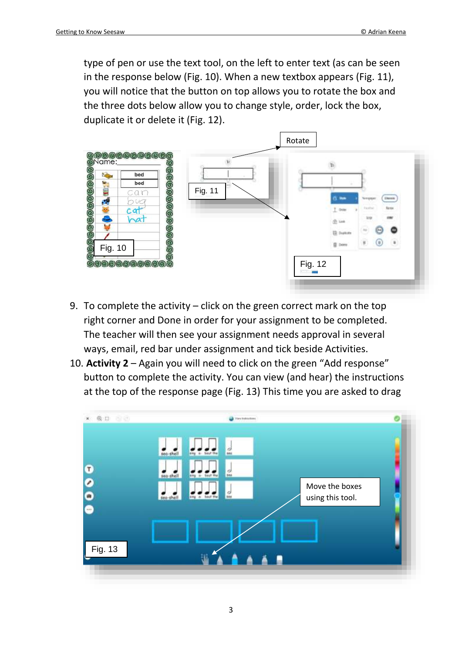type of pen or use the text tool, on the left to enter text (as can be seen in the response below (Fig. 10). When a new textbox appears (Fig. 11), you will notice that the button on top allows you to rotate the box and the three dots below allow you to change style, order, lock the box, duplicate it or delete it (Fig. 12).



- 9. To complete the activity click on the green correct mark on the top right corner and Done in order for your assignment to be completed. The teacher will then see your assignment needs approval in several ways, email, red bar under assignment and tick beside Activities.
- 10. **Activity 2** Again you will need to click on the green "Add response" button to complete the activity. You can view (and hear) the instructions at the top of the response page (Fig. 13) This time you are asked to drag